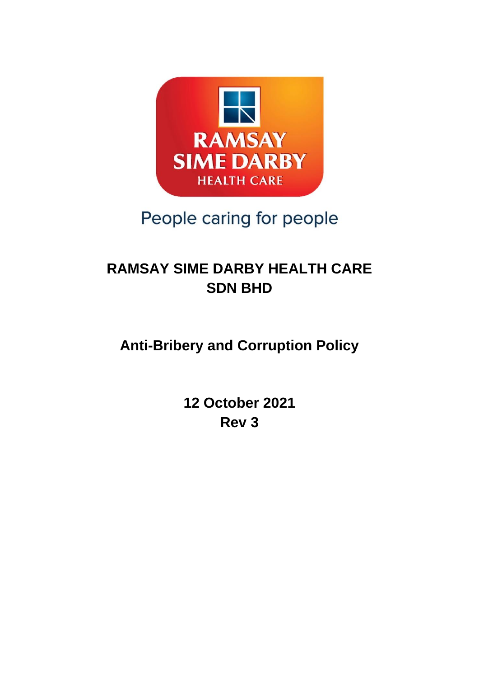

# People caring for people

## **RAMSAY SIME DARBY HEALTH CARE SDN BHD**

## **Anti-Bribery and Corruption Policy**

**12 October 2021 Rev 3**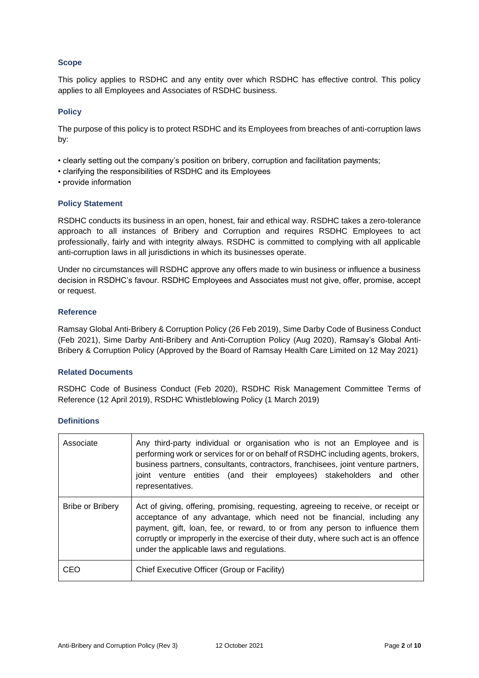## **Scope**

This policy applies to RSDHC and any entity over which RSDHC has effective control. This policy applies to all Employees and Associates of RSDHC business.

## **Policy**

The purpose of this policy is to protect RSDHC and its Employees from breaches of anti-corruption laws by:

- clearly setting out the company's position on bribery, corruption and facilitation payments;
- clarifying the responsibilities of RSDHC and its Employees
- provide information

## **Policy Statement**

RSDHC conducts its business in an open, honest, fair and ethical way. RSDHC takes a zero-tolerance approach to all instances of Bribery and Corruption and requires RSDHC Employees to act professionally, fairly and with integrity always. RSDHC is committed to complying with all applicable anti-corruption laws in all jurisdictions in which its businesses operate.

Under no circumstances will RSDHC approve any offers made to win business or influence a business decision in RSDHC's favour. RSDHC Employees and Associates must not give, offer, promise, accept or request.

## **Reference**

Ramsay Global Anti-Bribery & Corruption Policy (26 Feb 2019), Sime Darby Code of Business Conduct (Feb 2021), Sime Darby Anti-Bribery and Anti-Corruption Policy (Aug 2020), Ramsay's Global Anti-Bribery & Corruption Policy (Approved by the Board of Ramsay Health Care Limited on 12 May 2021)

#### **Related Documents**

RSDHC Code of Business Conduct (Feb 2020), RSDHC Risk Management Committee Terms of Reference (12 April 2019), RSDHC Whistleblowing Policy (1 March 2019)

#### **Definitions**

| Associate        | Any third-party individual or organisation who is not an Employee and is<br>performing work or services for or on behalf of RSDHC including agents, brokers,<br>business partners, consultants, contractors, franchisees, joint venture partners,<br>joint venture entities (and their employees) stakeholders and other<br>representatives.                                       |  |  |
|------------------|------------------------------------------------------------------------------------------------------------------------------------------------------------------------------------------------------------------------------------------------------------------------------------------------------------------------------------------------------------------------------------|--|--|
| Bribe or Bribery | Act of giving, offering, promising, requesting, agreeing to receive, or receipt or<br>acceptance of any advantage, which need not be financial, including any<br>payment, gift, loan, fee, or reward, to or from any person to influence them<br>corruptly or improperly in the exercise of their duty, where such act is an offence<br>under the applicable laws and regulations. |  |  |
| CEO              | Chief Executive Officer (Group or Facility)                                                                                                                                                                                                                                                                                                                                        |  |  |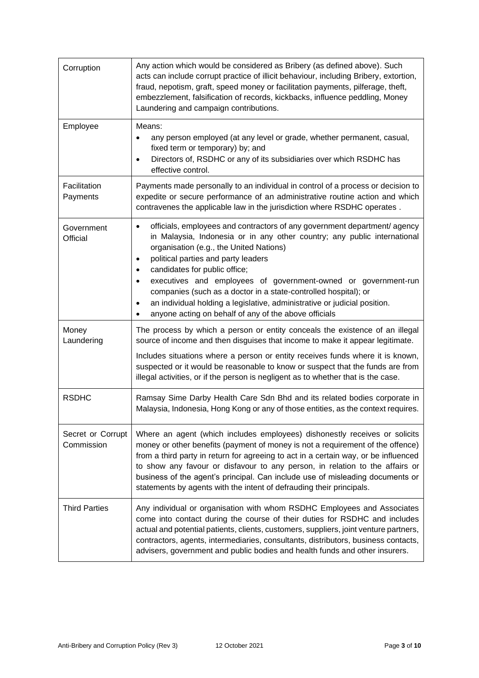| Corruption                      | Any action which would be considered as Bribery (as defined above). Such<br>acts can include corrupt practice of illicit behaviour, including Bribery, extortion,<br>fraud, nepotism, graft, speed money or facilitation payments, pilferage, theft,<br>embezzlement, falsification of records, kickbacks, influence peddling, Money<br>Laundering and campaign contributions.                                                                                                                                                                                                                               |  |  |
|---------------------------------|--------------------------------------------------------------------------------------------------------------------------------------------------------------------------------------------------------------------------------------------------------------------------------------------------------------------------------------------------------------------------------------------------------------------------------------------------------------------------------------------------------------------------------------------------------------------------------------------------------------|--|--|
| Employee                        | Means:<br>any person employed (at any level or grade, whether permanent, casual,<br>$\bullet$<br>fixed term or temporary) by; and<br>Directors of, RSDHC or any of its subsidiaries over which RSDHC has<br>$\bullet$<br>effective control.                                                                                                                                                                                                                                                                                                                                                                  |  |  |
| Facilitation<br>Payments        | Payments made personally to an individual in control of a process or decision to<br>expedite or secure performance of an administrative routine action and which<br>contravenes the applicable law in the jurisdiction where RSDHC operates.                                                                                                                                                                                                                                                                                                                                                                 |  |  |
| Government<br>Official          | officials, employees and contractors of any government department/ agency<br>$\bullet$<br>in Malaysia, Indonesia or in any other country; any public international<br>organisation (e.g., the United Nations)<br>political parties and party leaders<br>$\bullet$<br>candidates for public office;<br>$\bullet$<br>executives and employees of government-owned or government-run<br>$\bullet$<br>companies (such as a doctor in a state-controlled hospital); or<br>an individual holding a legislative, administrative or judicial position.<br>٠<br>anyone acting on behalf of any of the above officials |  |  |
| Money<br>Laundering             | The process by which a person or entity conceals the existence of an illegal<br>source of income and then disguises that income to make it appear legitimate.                                                                                                                                                                                                                                                                                                                                                                                                                                                |  |  |
|                                 | Includes situations where a person or entity receives funds where it is known,<br>suspected or it would be reasonable to know or suspect that the funds are from<br>illegal activities, or if the person is negligent as to whether that is the case.                                                                                                                                                                                                                                                                                                                                                        |  |  |
| <b>RSDHC</b>                    | Ramsay Sime Darby Health Care Sdn Bhd and its related bodies corporate in<br>Malaysia, Indonesia, Hong Kong or any of those entities, as the context requires.                                                                                                                                                                                                                                                                                                                                                                                                                                               |  |  |
| Secret or Corrupt<br>Commission | Where an agent (which includes employees) dishonestly receives or solicits<br>money or other benefits (payment of money is not a requirement of the offence)<br>from a third party in return for agreeing to act in a certain way, or be influenced<br>to show any favour or disfavour to any person, in relation to the affairs or<br>business of the agent's principal. Can include use of misleading documents or<br>statements by agents with the intent of defrauding their principals.                                                                                                                 |  |  |
| <b>Third Parties</b>            | Any individual or organisation with whom RSDHC Employees and Associates<br>come into contact during the course of their duties for RSDHC and includes<br>actual and potential patients, clients, customers, suppliers, joint venture partners,<br>contractors, agents, intermediaries, consultants, distributors, business contacts,<br>advisers, government and public bodies and health funds and other insurers.                                                                                                                                                                                          |  |  |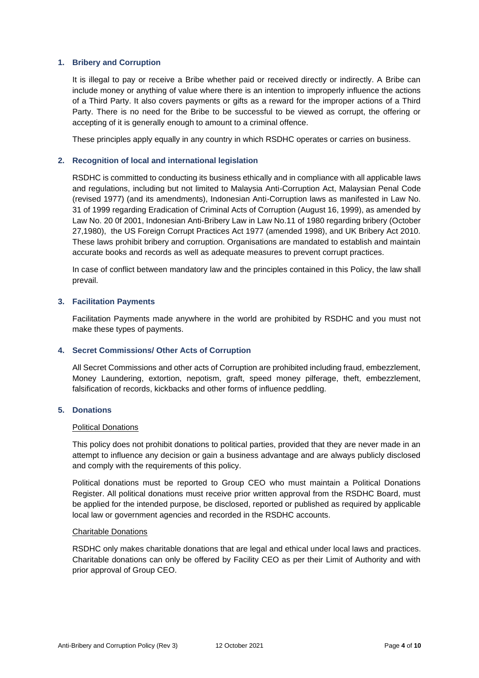#### **1. Bribery and Corruption**

It is illegal to pay or receive a Bribe whether paid or received directly or indirectly. A Bribe can include money or anything of value where there is an intention to improperly influence the actions of a Third Party. It also covers payments or gifts as a reward for the improper actions of a Third Party. There is no need for the Bribe to be successful to be viewed as corrupt, the offering or accepting of it is generally enough to amount to a criminal offence.

These principles apply equally in any country in which RSDHC operates or carries on business.

#### **2. Recognition of local and international legislation**

RSDHC is committed to conducting its business ethically and in compliance with all applicable laws and regulations, including but not limited to Malaysia Anti-Corruption Act, Malaysian Penal Code (revised 1977) (and its amendments), Indonesian Anti-Corruption laws as manifested in Law No. 31 of 1999 regarding Eradication of Criminal Acts of Corruption (August 16, 1999), as amended by Law No. 20 0f 2001, Indonesian Anti-Bribery Law in Law No.11 of 1980 regarding bribery (October 27,1980), the US Foreign Corrupt Practices Act 1977 (amended 1998), and UK Bribery Act 2010. These laws prohibit bribery and corruption. Organisations are mandated to establish and maintain accurate books and records as well as adequate measures to prevent corrupt practices.

In case of conflict between mandatory law and the principles contained in this Policy, the law shall prevail.

#### **3. Facilitation Payments**

Facilitation Payments made anywhere in the world are prohibited by RSDHC and you must not make these types of payments.

#### **4. Secret Commissions/ Other Acts of Corruption**

All Secret Commissions and other acts of Corruption are prohibited including fraud, embezzlement, Money Laundering, extortion, nepotism, graft, speed money pilferage, theft, embezzlement, falsification of records, kickbacks and other forms of influence peddling.

### **5. Donations**

#### Political Donations

This policy does not prohibit donations to political parties, provided that they are never made in an attempt to influence any decision or gain a business advantage and are always publicly disclosed and comply with the requirements of this policy.

Political donations must be reported to Group CEO who must maintain a Political Donations Register. All political donations must receive prior written approval from the RSDHC Board, must be applied for the intended purpose, be disclosed, reported or published as required by applicable local law or government agencies and recorded in the RSDHC accounts.

#### Charitable Donations

RSDHC only makes charitable donations that are legal and ethical under local laws and practices. Charitable donations can only be offered by Facility CEO as per their Limit of Authority and with prior approval of Group CEO.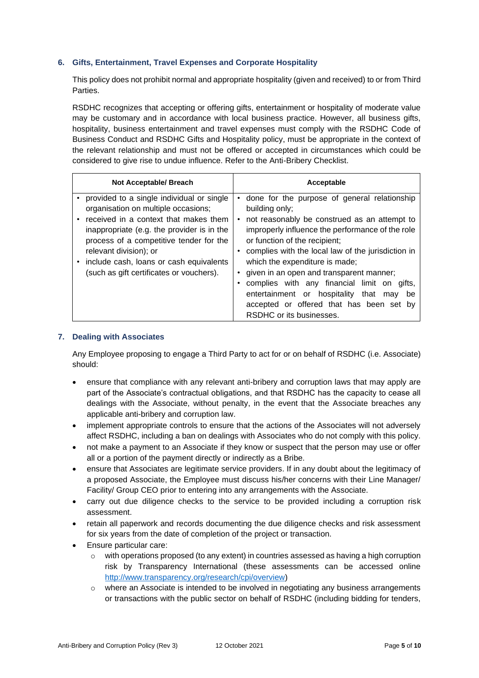## **6. Gifts, Entertainment, Travel Expenses and Corporate Hospitality**

This policy does not prohibit normal and appropriate hospitality (given and received) to or from Third Parties.

RSDHC recognizes that accepting or offering gifts, entertainment or hospitality of moderate value may be customary and in accordance with local business practice. However, all business gifts, hospitality, business entertainment and travel expenses must comply with the RSDHC Code of Business Conduct and RSDHC Gifts and Hospitality policy, must be appropriate in the context of the relevant relationship and must not be offered or accepted in circumstances which could be considered to give rise to undue influence. Refer to the Anti-Bribery Checklist.

| Not Acceptable/ Breach                     | Acceptable                                         |
|--------------------------------------------|----------------------------------------------------|
| provided to a single individual or single  | done for the purpose of general relationship       |
| organisation on multiple occasions;        | building only;                                     |
| received in a context that makes them      | not reasonably be construed as an attempt to       |
| inappropriate (e.g. the provider is in the | improperly influence the performance of the role   |
| process of a competitive tender for the    | or function of the recipient;                      |
| relevant division); or                     | complies with the local law of the jurisdiction in |
| include cash, loans or cash equivalents    | which the expenditure is made;                     |
| (such as gift certificates or vouchers).   | given in an open and transparent manner;           |
|                                            | complies with any financial limit on gifts,        |
|                                            | entertainment or hospitality<br>that may<br>be     |
|                                            | accepted or offered that has been set by           |
|                                            | RSDHC or its businesses.                           |

### **7. Dealing with Associates**

Any Employee proposing to engage a Third Party to act for or on behalf of RSDHC (i.e. Associate) should:

- ensure that compliance with any relevant anti-bribery and corruption laws that may apply are part of the Associate's contractual obligations, and that RSDHC has the capacity to cease all dealings with the Associate, without penalty, in the event that the Associate breaches any applicable anti-bribery and corruption law.
- implement appropriate controls to ensure that the actions of the Associates will not adversely affect RSDHC, including a ban on dealings with Associates who do not comply with this policy.
- not make a payment to an Associate if they know or suspect that the person may use or offer all or a portion of the payment directly or indirectly as a Bribe.
- ensure that Associates are legitimate service providers. If in any doubt about the legitimacy of a proposed Associate, the Employee must discuss his/her concerns with their Line Manager/ Facility/ Group CEO prior to entering into any arrangements with the Associate.
- carry out due diligence checks to the service to be provided including a corruption risk assessment.
- retain all paperwork and records documenting the due diligence checks and risk assessment for six years from the date of completion of the project or transaction.
- Ensure particular care:
	- $\circ$  with operations proposed (to any extent) in countries assessed as having a high corruption risk by Transparency International (these assessments can be accessed online [http://www.transparency.org/research/cpi/overview\)](http://www.transparency.org/research/cpi/overview)
	- $\circ$  where an Associate is intended to be involved in negotiating any business arrangements or transactions with the public sector on behalf of RSDHC (including bidding for tenders,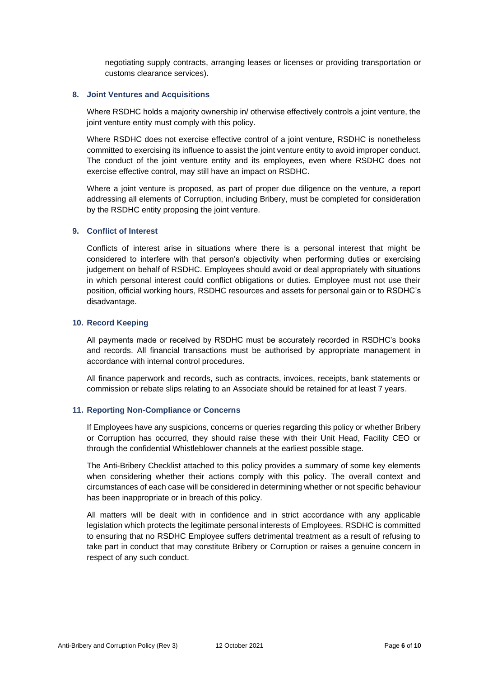negotiating supply contracts, arranging leases or licenses or providing transportation or customs clearance services).

#### **8. Joint Ventures and Acquisitions**

Where RSDHC holds a majority ownership in/ otherwise effectively controls a joint venture, the joint venture entity must comply with this policy.

Where RSDHC does not exercise effective control of a joint venture, RSDHC is nonetheless committed to exercising its influence to assist the joint venture entity to avoid improper conduct. The conduct of the joint venture entity and its employees, even where RSDHC does not exercise effective control, may still have an impact on RSDHC.

Where a joint venture is proposed, as part of proper due diligence on the venture, a report addressing all elements of Corruption, including Bribery, must be completed for consideration by the RSDHC entity proposing the joint venture.

#### **9. Conflict of Interest**

Conflicts of interest arise in situations where there is a personal interest that might be considered to interfere with that person's objectivity when performing duties or exercising judgement on behalf of RSDHC. Employees should avoid or deal appropriately with situations in which personal interest could conflict obligations or duties. Employee must not use their position, official working hours, RSDHC resources and assets for personal gain or to RSDHC's disadvantage.

#### **10. Record Keeping**

All payments made or received by RSDHC must be accurately recorded in RSDHC's books and records. All financial transactions must be authorised by appropriate management in accordance with internal control procedures.

All finance paperwork and records, such as contracts, invoices, receipts, bank statements or commission or rebate slips relating to an Associate should be retained for at least 7 years.

## **11. Reporting Non-Compliance or Concerns**

If Employees have any suspicions, concerns or queries regarding this policy or whether Bribery or Corruption has occurred, they should raise these with their Unit Head, Facility CEO or through the confidential Whistleblower channels at the earliest possible stage.

The Anti-Bribery Checklist attached to this policy provides a summary of some key elements when considering whether their actions comply with this policy. The overall context and circumstances of each case will be considered in determining whether or not specific behaviour has been inappropriate or in breach of this policy.

All matters will be dealt with in confidence and in strict accordance with any applicable legislation which protects the legitimate personal interests of Employees. RSDHC is committed to ensuring that no RSDHC Employee suffers detrimental treatment as a result of refusing to take part in conduct that may constitute Bribery or Corruption or raises a genuine concern in respect of any such conduct.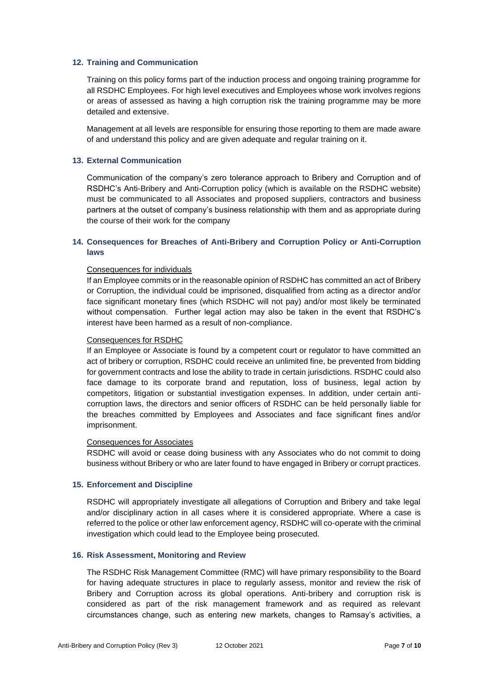#### **12. Training and Communication**

Training on this policy forms part of the induction process and ongoing training programme for all RSDHC Employees. For high level executives and Employees whose work involves regions or areas of assessed as having a high corruption risk the training programme may be more detailed and extensive.

Management at all levels are responsible for ensuring those reporting to them are made aware of and understand this policy and are given adequate and regular training on it.

#### **13. External Communication**

Communication of the company's zero tolerance approach to Bribery and Corruption and of RSDHC's Anti-Bribery and Anti-Corruption policy (which is available on the RSDHC website) must be communicated to all Associates and proposed suppliers, contractors and business partners at the outset of company's business relationship with them and as appropriate during the course of their work for the company

## **14. Consequences for Breaches of Anti-Bribery and Corruption Policy or Anti-Corruption laws**

#### Consequences for individuals

If an Employee commits or in the reasonable opinion of RSDHC has committed an act of Bribery or Corruption, the individual could be imprisoned, disqualified from acting as a director and/or face significant monetary fines (which RSDHC will not pay) and/or most likely be terminated without compensation. Further legal action may also be taken in the event that RSDHC's interest have been harmed as a result of non-compliance.

#### Consequences for RSDHC

If an Employee or Associate is found by a competent court or regulator to have committed an act of bribery or corruption, RSDHC could receive an unlimited fine, be prevented from bidding for government contracts and lose the ability to trade in certain jurisdictions. RSDHC could also face damage to its corporate brand and reputation, loss of business, legal action by competitors, litigation or substantial investigation expenses. In addition, under certain anticorruption laws, the directors and senior officers of RSDHC can be held personally liable for the breaches committed by Employees and Associates and face significant fines and/or imprisonment.

#### Consequences for Associates

RSDHC will avoid or cease doing business with any Associates who do not commit to doing business without Bribery or who are later found to have engaged in Bribery or corrupt practices.

#### **15. Enforcement and Discipline**

RSDHC will appropriately investigate all allegations of Corruption and Bribery and take legal and/or disciplinary action in all cases where it is considered appropriate. Where a case is referred to the police or other law enforcement agency, RSDHC will co-operate with the criminal investigation which could lead to the Employee being prosecuted.

#### **16. Risk Assessment, Monitoring and Review**

The RSDHC Risk Management Committee (RMC) will have primary responsibility to the Board for having adequate structures in place to regularly assess, monitor and review the risk of Bribery and Corruption across its global operations. Anti-bribery and corruption risk is considered as part of the risk management framework and as required as relevant circumstances change, such as entering new markets, changes to Ramsay's activities, a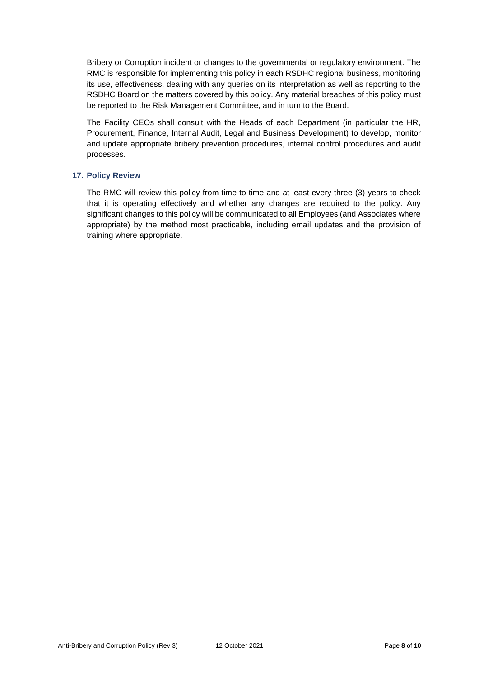Bribery or Corruption incident or changes to the governmental or regulatory environment. The RMC is responsible for implementing this policy in each RSDHC regional business, monitoring its use, effectiveness, dealing with any queries on its interpretation as well as reporting to the RSDHC Board on the matters covered by this policy. Any material breaches of this policy must be reported to the Risk Management Committee, and in turn to the Board.

The Facility CEOs shall consult with the Heads of each Department (in particular the HR, Procurement, Finance, Internal Audit, Legal and Business Development) to develop, monitor and update appropriate bribery prevention procedures, internal control procedures and audit processes.

#### **17. Policy Review**

The RMC will review this policy from time to time and at least every three (3) years to check that it is operating effectively and whether any changes are required to the policy. Any significant changes to this policy will be communicated to all Employees (and Associates where appropriate) by the method most practicable, including email updates and the provision of training where appropriate.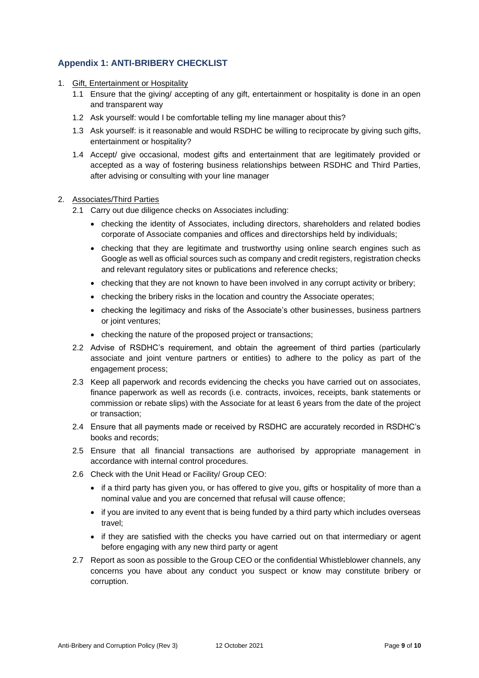## **Appendix 1: ANTI-BRIBERY CHECKLIST**

- 1. Gift, Entertainment or Hospitality
	- 1.1 Ensure that the giving/ accepting of any gift, entertainment or hospitality is done in an open and transparent way
	- 1.2 Ask yourself: would I be comfortable telling my line manager about this?
	- 1.3 Ask yourself: is it reasonable and would RSDHC be willing to reciprocate by giving such gifts, entertainment or hospitality?
	- 1.4 Accept/ give occasional, modest gifts and entertainment that are legitimately provided or accepted as a way of fostering business relationships between RSDHC and Third Parties, after advising or consulting with your line manager

#### 2. Associates/Third Parties

- 2.1 Carry out due diligence checks on Associates including:
	- checking the identity of Associates, including directors, shareholders and related bodies corporate of Associate companies and offices and directorships held by individuals;
	- checking that they are legitimate and trustworthy using online search engines such as Google as well as official sources such as company and credit registers, registration checks and relevant regulatory sites or publications and reference checks;
	- checking that they are not known to have been involved in any corrupt activity or bribery;
	- checking the bribery risks in the location and country the Associate operates;
	- checking the legitimacy and risks of the Associate's other businesses, business partners or joint ventures;
	- checking the nature of the proposed project or transactions;
- 2.2 Advise of RSDHC's requirement, and obtain the agreement of third parties (particularly associate and joint venture partners or entities) to adhere to the policy as part of the engagement process;
- 2.3 Keep all paperwork and records evidencing the checks you have carried out on associates, finance paperwork as well as records (i.e. contracts, invoices, receipts, bank statements or commission or rebate slips) with the Associate for at least 6 years from the date of the project or transaction;
- 2.4 Ensure that all payments made or received by RSDHC are accurately recorded in RSDHC's books and records;
- 2.5 Ensure that all financial transactions are authorised by appropriate management in accordance with internal control procedures.
- 2.6 Check with the Unit Head or Facility/ Group CEO:
	- if a third party has given you, or has offered to give you, gifts or hospitality of more than a nominal value and you are concerned that refusal will cause offence;
	- if you are invited to any event that is being funded by a third party which includes overseas travel;
	- if they are satisfied with the checks you have carried out on that intermediary or agent before engaging with any new third party or agent
- 2.7 Report as soon as possible to the Group CEO or the confidential Whistleblower channels, any concerns you have about any conduct you suspect or know may constitute bribery or corruption.